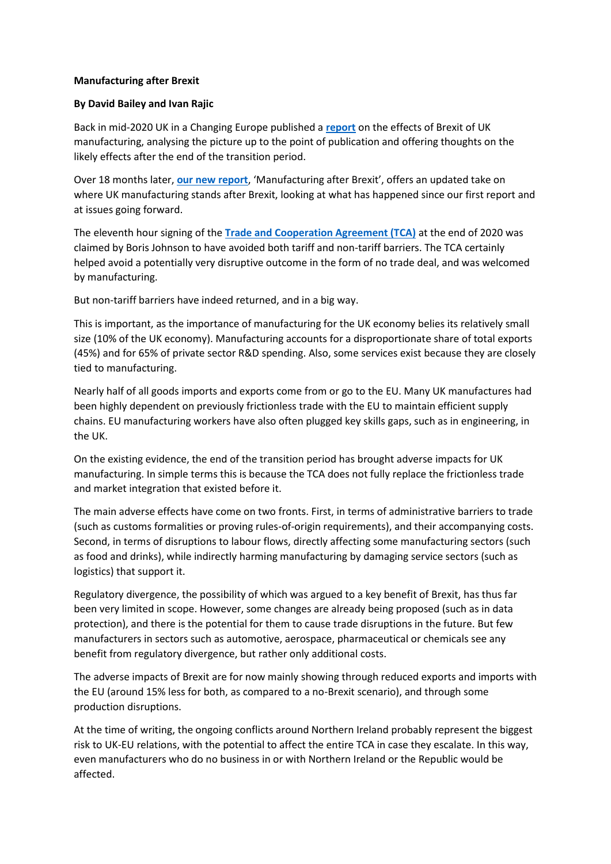## **Manufacturing after Brexit**

## **By David Bailey and Ivan Rajic**

Back in mid-2020 UK in a Changing Europe published a **[report](https://eur02.safelinks.protection.outlook.com/?url=https%3A%2F%2Fukandeu.ac.uk%2Fwp-content%2Fuploads%2F2020%2F06%2FManufacturing-and-Brexit.pdf&data=04%7C01%7CSian.Clements%40mail.bcu.ac.uk%7C57935a2004764efc735b08d9e2ae1509%7C7e2be055828a4523b5e5b77ad9939785%7C0%7C0%7C637790059577477963%7CUnknown%7CTWFpbGZsb3d8eyJWIjoiMC4wLjAwMDAiLCJQIjoiV2luMzIiLCJBTiI6Ik1haWwiLCJXVCI6Mn0%3D%7C3000&sdata=f%2F7Cs1DoT%2FcT2E87Ys%2BynceQD7jF0zMF4oy6%2FDacPVI%3D&reserved=0)** on the effects of Brexit of UK manufacturing, analysing the picture up to the point of publication and offering thoughts on the likely effects after the end of the transition period.

Over 18 months later, **[our new report](https://eur02.safelinks.protection.outlook.com/?url=https%3A%2F%2Fukandeu.ac.uk%2Fresearch-papers%2Fmanufacturing-after-brexit%2F&data=04%7C01%7CSian.Clements%40mail.bcu.ac.uk%7C57935a2004764efc735b08d9e2ae1509%7C7e2be055828a4523b5e5b77ad9939785%7C0%7C0%7C637790059577633534%7CUnknown%7CTWFpbGZsb3d8eyJWIjoiMC4wLjAwMDAiLCJQIjoiV2luMzIiLCJBTiI6Ik1haWwiLCJXVCI6Mn0%3D%7C3000&sdata=HksbeyC%2FIM3QvYmTkVne2iLUh7F6kDqejbcGUPld3T0%3D&reserved=0)**, 'Manufacturing after Brexit', offers an updated take on where UK manufacturing stands after Brexit, looking at what has happened since our first report and at issues going forward.

The eleventh hour signing of the **[Trade and Cooperation Agreement \(TCA\)](https://eur02.safelinks.protection.outlook.com/?url=https%3A%2F%2Fukandeu.ac.uk%2Fthe-facts%2Fwhat-is-the-trade-and-cooperation-agreement%2F&data=04%7C01%7CSian.Clements%40mail.bcu.ac.uk%7C57935a2004764efc735b08d9e2ae1509%7C7e2be055828a4523b5e5b77ad9939785%7C0%7C0%7C637790059577633534%7CUnknown%7CTWFpbGZsb3d8eyJWIjoiMC4wLjAwMDAiLCJQIjoiV2luMzIiLCJBTiI6Ik1haWwiLCJXVCI6Mn0%3D%7C3000&sdata=GT%2F8zImoohdZm2axNergSFAVjHMdPoIN6osZhCwNr%2B8%3D&reserved=0)** at the end of 2020 was claimed by Boris Johnson to have avoided both tariff and non-tariff barriers. The TCA certainly helped avoid a potentially very disruptive outcome in the form of no trade deal, and was welcomed by manufacturing.

But non-tariff barriers have indeed returned, and in a big way.

This is important, as the importance of manufacturing for the UK economy belies its relatively small size (10% of the UK economy). Manufacturing accounts for a disproportionate share of total exports (45%) and for 65% of private sector R&D spending. Also, some services exist because they are closely tied to manufacturing.

Nearly half of all goods imports and exports come from or go to the EU. Many UK manufactures had been highly dependent on previously frictionless trade with the EU to maintain efficient supply chains. EU manufacturing workers have also often plugged key skills gaps, such as in engineering, in the UK.

On the existing evidence, the end of the transition period has brought adverse impacts for UK manufacturing. In simple terms this is because the TCA does not fully replace the frictionless trade and market integration that existed before it.

The main adverse effects have come on two fronts. First, in terms of administrative barriers to trade (such as customs formalities or proving rules-of-origin requirements), and their accompanying costs. Second, in terms of disruptions to labour flows, directly affecting some manufacturing sectors (such as food and drinks), while indirectly harming manufacturing by damaging service sectors (such as logistics) that support it.

Regulatory divergence, the possibility of which was argued to a key benefit of Brexit, has thus far been very limited in scope. However, some changes are already being proposed (such as in data protection), and there is the potential for them to cause trade disruptions in the future. But few manufacturers in sectors such as automotive, aerospace, pharmaceutical or chemicals see any benefit from regulatory divergence, but rather only additional costs.

The adverse impacts of Brexit are for now mainly showing through reduced exports and imports with the EU (around 15% less for both, as compared to a no-Brexit scenario), and through some production disruptions.

At the time of writing, the ongoing conflicts around Northern Ireland probably represent the biggest risk to UK-EU relations, with the potential to affect the entire TCA in case they escalate. In this way, even manufacturers who do no business in or with Northern Ireland or the Republic would be affected.